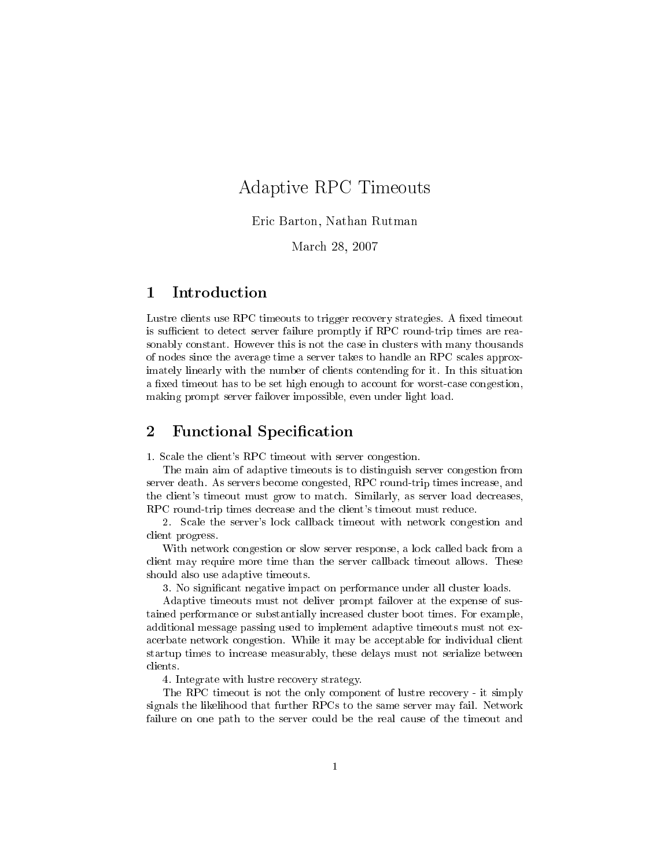# Adaptive RPC Timeouts

## Eric Barton, Nathan Rutman

March 28, <sup>2007</sup>

### Introduction 1

Lustre clients use RPC timeouts to trigger recovery strategies. A fixed timeout is sufficient to detect server failure promptly if RPC round-trip times are reasonably constant. However this is not the case in clusters with many thousands of nodes since the average time a server takes to handle an RPC scales approximately linearly with the number of clients contending for it. In this situation a fixed timeout has to be set high enough to account for worst-case congestion, making prompt server failover impossible, even under light load.

### $\overline{2}$ **Functional Specification**

1. Scale the client's RPC timeout with server congestion.

The main aim of adaptive timeouts is to distinguish server congestion from server death. As servers become congested, RPC round-trip times increase, and the client's timeout must grow to match. Similarly, as server load decreases, RPC round-trip times decrease and the client's timeout must reduce.

2. Scale the server's lock callback timeout with network congestion and client progress.

With network congestion or slow server response, a lock called back from a client may require more time than the server callback timeout allows. These should also use adaptive timeouts.

3. No signicant negative impact on performance under all cluster loads.

Adaptive timeouts must not deliver prompt failover at the expense of sustained performance or substantially increased cluster boot times. For example, additional message passing used to implement adaptive timeouts must not exacerbate network congestion. While it may be acceptable for individual client startup times to increase measurably, these delays must not serialize between clients.

4. Integrate with lustre recovery strategy.

The RPC timeout is not the only component of lustre recovery - it simply signals the likelihood that further RPCs to the same server may fail. Network failure on one path to the server could be the real cause of the timeout and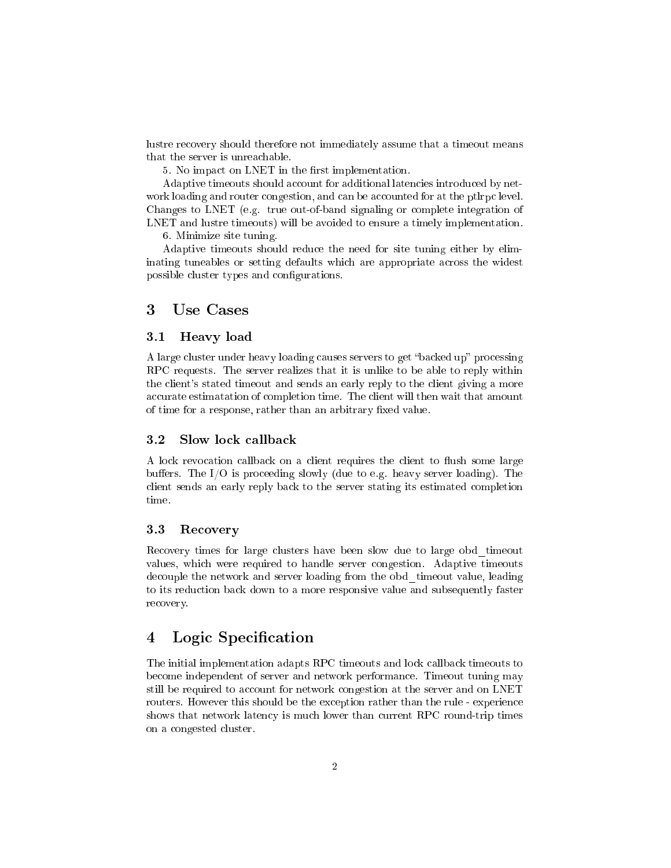lustre recovery should therefore not immediately assume that a timeout means that the server is unreachable.

5. No impact on LNET in the first implementation.

Adaptive timeouts should account for additional latencies introduced by network loading and router congestion, and can be accounted for at the ptlrpc level. Changes to LNET (e.g. true out-of-band signaling or complete integration of LNET and lustre timeouts) will be avoided to ensure a timely implementation.

6. Minimize site tuning.

Adaptive timeouts should reduce the need for site tuning either by eliminating tuneables or setting defaults which are appropriate across the widest possible cluster types and configurations.

### 3 Use Cases

## 3.1 Heavy load

A large cluster under heavy loading causes servers to get "backed up" processing RPC requests. The server realizes that it is unlike to be able to reply within the client's stated timeout and sends an early reply to the client giving a more accurate estimatation of completion time. The client will then wait that amount of time for a response, rather than an arbitrary fixed value.

A lock revocation callback on a client requires the client to flush some large buffers. The I/O is proceeding slowly (due to e.g. heavy server loading). The client sends an early reply back to the server stating its estimated completion time.

## 3.3 Recovery

Recovery times for large clusters have been slow due to large obd\_timeout values, which were required to handle server congestion. Adaptive timeouts decouple the network and server loading from the obd\_timeout value, leading to its reduction back down to a more responsive value and subsequently faster recovery.

# 4 Logic Specification

The initial implementation adapts RPC timeouts and lock callback timeouts to become independent of server and network performance. Timeout tuning may still be required to account for network congestion at the server and on LNET routers. However this should be the exception rather than the rule - experience shows that network latency is much lower than current RPC round-trip times on a congested cluster.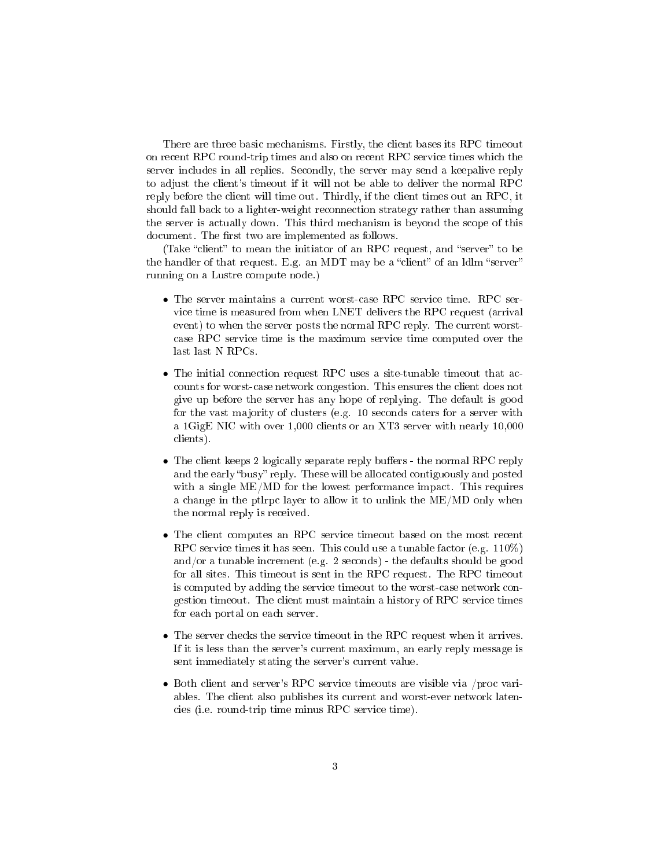There are three basic mechanisms. Firstly, the client bases its RPC timeout on recent RPC round-trip times and also on recent RPC service times which the server includes in all replies. Secondly, the server may send a keepalive reply to adjust the client's timeout if it will not be able to deliver the normal RPC reply before the client will time out. Thirdly, if the client times out an RPC, it should fall back to a lighter-weight reconnection strategy rather than assuming the server is actually down. This third mechanism is beyond the scope of this document. The first two are implemented as follows.

(Take "client" to mean the initiator of an RPC request, and "server" to be the handler of that request. E.g. an MDT may be a "client" of an ldlm "server" running on a Lustre compute node.)

- The server maintains a current worst-case RPC service time. RPC service time is measured from when LNET delivers the RPC request (arrival event) to when the server posts the normal RPC reply. The current worstcase RPC service time is the maximum service time computed over the last last N RPCs.
- The initial connection request RPC uses a site-tunable timeout that accounts for worst-case network congestion. This ensures the client does not give up before the server has any hope of replying. The default is good for the vast majority of clusters (e.g. 10 seconds caters for a server with a 1GigE NIC with over 1,000 clients or an XT3 server with nearly 10,000 clients).
- The client keeps 2 logically separate reply buffers the normal RPC reply and the early "busy" reply. These will be allocated contiguously and posted with a single ME/MD for the lowest performance impact. This requires a change in the ptlrpc layer to allow it to unlink the ME/MD only when the normal reply is received.
- The client computes an RPC service timeout based on the most recent RPC service times it has seen. This could use a tunable factor (e.g. 110%) and/or a tunable increment (e.g. 2 seconds) - the defaults should be good for all sites. This timeout is sent in the RPC request. The RPC timeout is computed by adding the service timeout to the worst-case network congestion timeout. The client must maintain a history of RPC service times for each portal on each server.
- The server checks the service timeout in the RPC request when it arrives. If it is less than the server's current maximum, an early reply message is sent immediately stating the server's current value.
- Both client and server's RPC service timeouts are visible via /proc variables. The client also publishes its current and worst-ever network latencies (i.e. round-trip time minus RPC service time).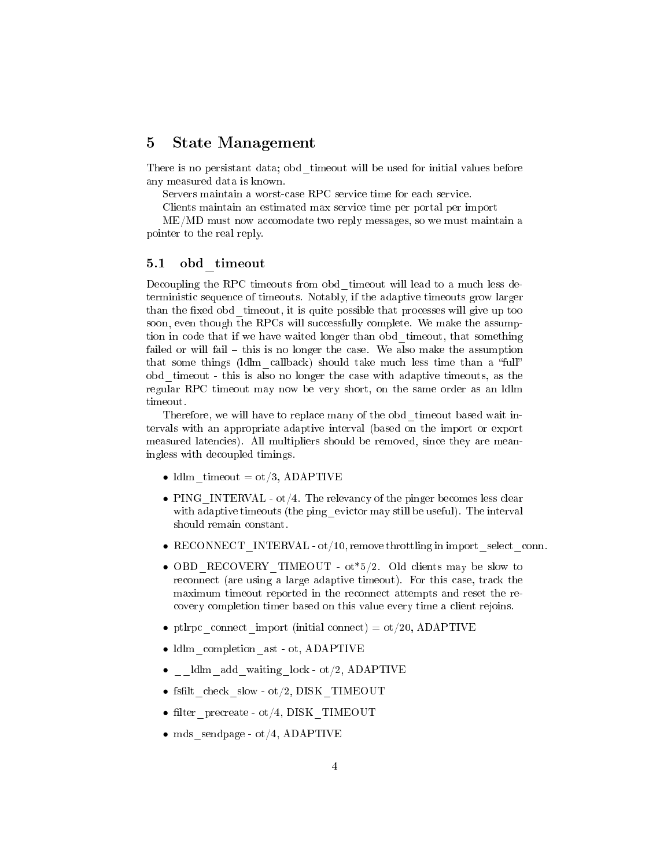## 5 State Management

There is no persistant data; obd timeout will be used for initial values before any measured data is known.

Servers maintain a worst-case RPC service time for each service.

Clients maintain an estimated max service time per portal per import

ME/MD must now accomodate two reply messages, so we must maintain a pointer to the real reply.

#### $5.1$ obd timeout

Decoupling the RPC timeouts from obd timeout will lead to a much less deterministic sequence of timeouts. Notably, if the adaptive timeouts grow larger than the fixed obd timeout, it is quite possible that processes will give up too soon, even though the RPCs will successfully complete. We make the assumption in code that if we have waited longer than obd\_timeout, that something failed or will fail  $-$  this is no longer the case. We also make the assumption that some things (ldlm callback) should take much less time than a "full" obd\_timeout - this is also no longer the case with adaptive timeouts, as the regular RPC timeout may now be very short, on the same order as an ldlm timeout.

Therefore, we will have to replace many of the obd\_timeout based wait intervals with an appropriate adaptive interval (based on the import or export measured latencies). All multipliers should be removed, since they are meaningless with decoupled timings.

- Idlm  $timeout = ot/3$ , ADAPTIVE
- PING INTERVAL ot /4. The relevancy of the pinger becomes less clear with adaptive timeouts (the ping evictor may still be useful). The interval should remain constant.
- RECONNECT INTERVAL ot/10, remove throttling in import—select—conn.
- OBD\_RECOVERY\_TIMEOUT  $ot*5/2$ . Old clients may be slow to reconnect (are using a large adaptive timeout). For this case, track the maximum timeout reported in the reconnect attempts and reset the recovery completion timer based on this value every time a client rejoins.
- ptlrpc connect import (initial connect)  $=$  ot/20, ADAPTIVE
- Idlm completion ast ot, ADAPTIVE
- $ldlm$  add waiting lock ot/2, ADAPTIVE
- fsfilt check slow ot/2, DISK TIMEOUT
- $\bullet$  filter precreate ot/4, DISK\_TIMEOUT
- mds sendpage ot/4, ADAPTIVE